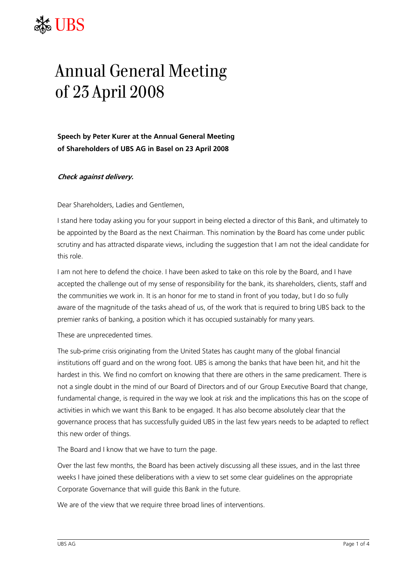## **JBS**

## Annual General Meeting of 23 April 2008

**Speech by Peter Kurer at the Annual General Meeting of Shareholders of UBS AG in Basel on 23 April 2008** 

## **Check against delivery.**

Dear Shareholders, Ladies and Gentlemen,

I stand here today asking you for your support in being elected a director of this Bank, and ultimately to be appointed by the Board as the next Chairman. This nomination by the Board has come under public scrutiny and has attracted disparate views, including the suggestion that I am not the ideal candidate for this role.

I am not here to defend the choice. I have been asked to take on this role by the Board, and I have accepted the challenge out of my sense of responsibility for the bank, its shareholders, clients, staff and the communities we work in. It is an honor for me to stand in front of you today, but I do so fully aware of the magnitude of the tasks ahead of us, of the work that is required to bring UBS back to the premier ranks of banking, a position which it has occupied sustainably for many years.

These are unprecedented times.

The sub-prime crisis originating from the United States has caught many of the global financial institutions off guard and on the wrong foot. UBS is among the banks that have been hit, and hit the hardest in this. We find no comfort on knowing that there are others in the same predicament. There is not a single doubt in the mind of our Board of Directors and of our Group Executive Board that change, fundamental change, is required in the way we look at risk and the implications this has on the scope of activities in which we want this Bank to be engaged. It has also become absolutely clear that the governance process that has successfully guided UBS in the last few years needs to be adapted to reflect this new order of things.

The Board and I know that we have to turn the page.

Over the last few months, the Board has been actively discussing all these issues, and in the last three weeks I have joined these deliberations with a view to set some clear guidelines on the appropriate Corporate Governance that will guide this Bank in the future.

We are of the view that we require three broad lines of interventions.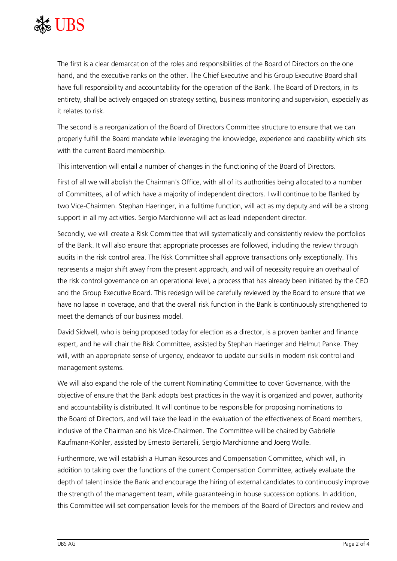

The first is a clear demarcation of the roles and responsibilities of the Board of Directors on the one hand, and the executive ranks on the other. The Chief Executive and his Group Executive Board shall have full responsibility and accountability for the operation of the Bank. The Board of Directors, in its entirety, shall be actively engaged on strategy setting, business monitoring and supervision, especially as it relates to risk.

The second is a reorganization of the Board of Directors Committee structure to ensure that we can properly fulfill the Board mandate while leveraging the knowledge, experience and capability which sits with the current Board membership.

This intervention will entail a number of changes in the functioning of the Board of Directors.

First of all we will abolish the Chairman's Office, with all of its authorities being allocated to a number of Committees, all of which have a majority of independent directors. I will continue to be flanked by two Vice-Chairmen. Stephan Haeringer, in a fulltime function, will act as my deputy and will be a strong support in all my activities. Sergio Marchionne will act as lead independent director.

Secondly, we will create a Risk Committee that will systematically and consistently review the portfolios of the Bank. It will also ensure that appropriate processes are followed, including the review through audits in the risk control area. The Risk Committee shall approve transactions only exceptionally. This represents a major shift away from the present approach, and will of necessity require an overhaul of the risk control governance on an operational level, a process that has already been initiated by the CEO and the Group Executive Board. This redesign will be carefully reviewed by the Board to ensure that we have no lapse in coverage, and that the overall risk function in the Bank is continuously strengthened to meet the demands of our business model.

David Sidwell, who is being proposed today for election as a director, is a proven banker and finance expert, and he will chair the Risk Committee, assisted by Stephan Haeringer and Helmut Panke. They will, with an appropriate sense of urgency, endeavor to update our skills in modern risk control and management systems.

We will also expand the role of the current Nominating Committee to cover Governance, with the objective of ensure that the Bank adopts best practices in the way it is organized and power, authority and accountability is distributed. It will continue to be responsible for proposing nominations to the Board of Directors, and will take the lead in the evaluation of the effectiveness of Board members, inclusive of the Chairman and his Vice-Chairmen. The Committee will be chaired by Gabrielle Kaufmann-Kohler, assisted by Ernesto Bertarelli, Sergio Marchionne and Joerg Wolle.

Furthermore, we will establish a Human Resources and Compensation Committee, which will, in addition to taking over the functions of the current Compensation Committee, actively evaluate the depth of talent inside the Bank and encourage the hiring of external candidates to continuously improve the strength of the management team, while guaranteeing in house succession options. In addition, this Committee will set compensation levels for the members of the Board of Directors and review and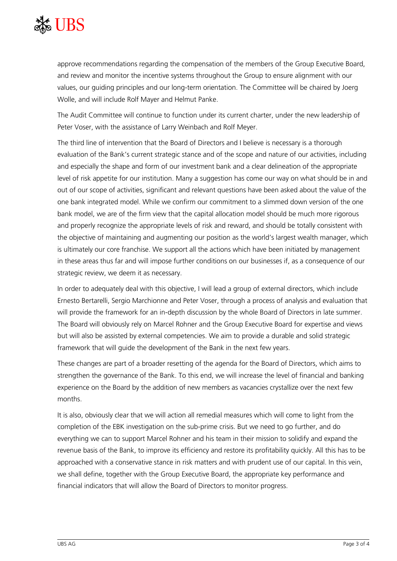

approve recommendations regarding the compensation of the members of the Group Executive Board, and review and monitor the incentive systems throughout the Group to ensure alignment with our values, our guiding principles and our long-term orientation. The Committee will be chaired by Joerg Wolle, and will include Rolf Mayer and Helmut Panke.

The Audit Committee will continue to function under its current charter, under the new leadership of Peter Voser, with the assistance of Larry Weinbach and Rolf Meyer.

The third line of intervention that the Board of Directors and I believe is necessary is a thorough evaluation of the Bank's current strategic stance and of the scope and nature of our activities, including and especially the shape and form of our investment bank and a clear delineation of the appropriate level of risk appetite for our institution. Many a suggestion has come our way on what should be in and out of our scope of activities, significant and relevant questions have been asked about the value of the one bank integrated model. While we confirm our commitment to a slimmed down version of the one bank model, we are of the firm view that the capital allocation model should be much more rigorous and properly recognize the appropriate levels of risk and reward, and should be totally consistent with the objective of maintaining and augmenting our position as the world's largest wealth manager, which is ultimately our core franchise. We support all the actions which have been initiated by management in these areas thus far and will impose further conditions on our businesses if, as a consequence of our strategic review, we deem it as necessary.

In order to adequately deal with this objective, I will lead a group of external directors, which include Ernesto Bertarelli, Sergio Marchionne and Peter Voser, through a process of analysis and evaluation that will provide the framework for an in-depth discussion by the whole Board of Directors in late summer. The Board will obviously rely on Marcel Rohner and the Group Executive Board for expertise and views but will also be assisted by external competencies. We aim to provide a durable and solid strategic framework that will guide the development of the Bank in the next few years.

These changes are part of a broader resetting of the agenda for the Board of Directors, which aims to strengthen the governance of the Bank. To this end, we will increase the level of financial and banking experience on the Board by the addition of new members as vacancies crystallize over the next few months.

It is also, obviously clear that we will action all remedial measures which will come to light from the completion of the EBK investigation on the sub-prime crisis. But we need to go further, and do everything we can to support Marcel Rohner and his team in their mission to solidify and expand the revenue basis of the Bank, to improve its efficiency and restore its profitability quickly. All this has to be approached with a conservative stance in risk matters and with prudent use of our capital. In this vein, we shall define, together with the Group Executive Board, the appropriate key performance and financial indicators that will allow the Board of Directors to monitor progress.